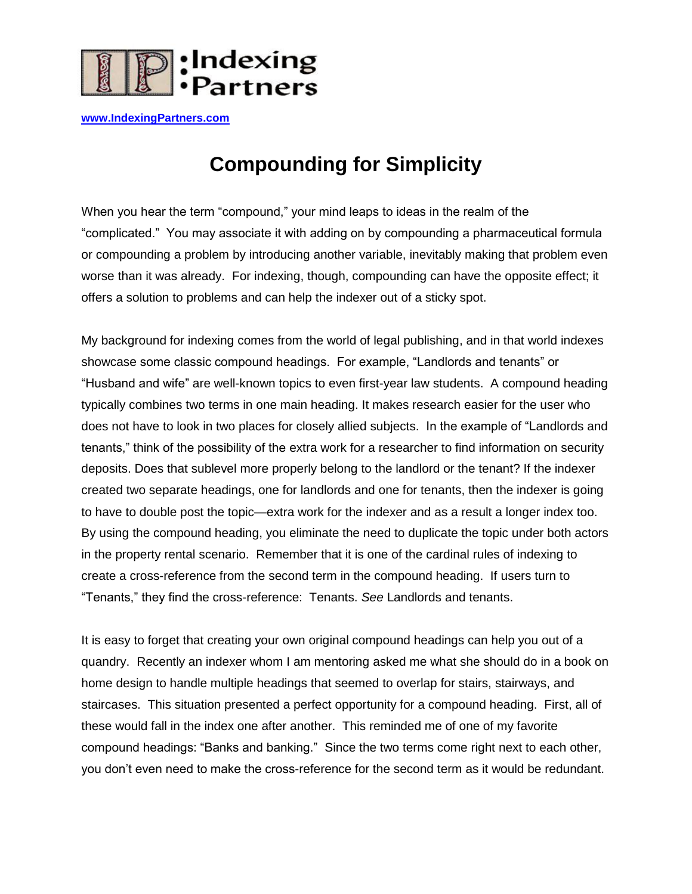

**[www.IndexingPartners.com](http://www.indexingpartners.com/)**

## **Compounding for Simplicity**

When you hear the term "compound," your mind leaps to ideas in the realm of the "complicated." You may associate it with adding on by compounding a pharmaceutical formula or compounding a problem by introducing another variable, inevitably making that problem even worse than it was already. For indexing, though, compounding can have the opposite effect; it offers a solution to problems and can help the indexer out of a sticky spot.

My background for indexing comes from the world of legal publishing, and in that world indexes showcase some classic compound headings. For example, "Landlords and tenants" or "Husband and wife" are well-known topics to even first-year law students. A compound heading typically combines two terms in one main heading. It makes research easier for the user who does not have to look in two places for closely allied subjects. In the example of "Landlords and tenants," think of the possibility of the extra work for a researcher to find information on security deposits. Does that sublevel more properly belong to the landlord or the tenant? If the indexer created two separate headings, one for landlords and one for tenants, then the indexer is going to have to double post the topic—extra work for the indexer and as a result a longer index too. By using the compound heading, you eliminate the need to duplicate the topic under both actors in the property rental scenario. Remember that it is one of the cardinal rules of indexing to create a cross-reference from the second term in the compound heading. If users turn to "Tenants," they find the cross-reference: Tenants. *See* Landlords and tenants.

It is easy to forget that creating your own original compound headings can help you out of a quandry. Recently an indexer whom I am mentoring asked me what she should do in a book on home design to handle multiple headings that seemed to overlap for stairs, stairways, and staircases. This situation presented a perfect opportunity for a compound heading. First, all of these would fall in the index one after another. This reminded me of one of my favorite compound headings: "Banks and banking." Since the two terms come right next to each other, you don"t even need to make the cross-reference for the second term as it would be redundant.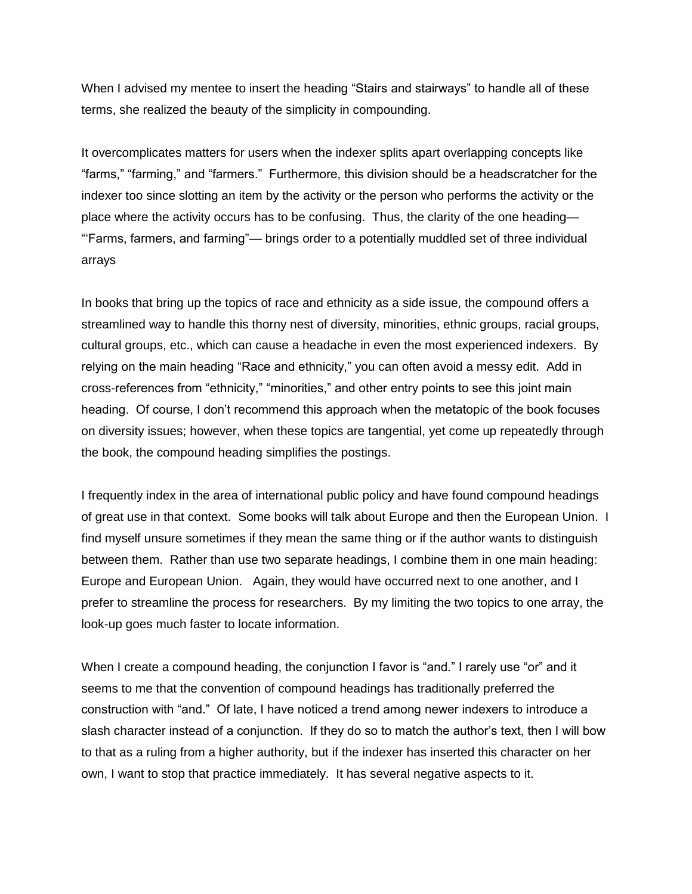When I advised my mentee to insert the heading "Stairs and stairways" to handle all of these terms, she realized the beauty of the simplicity in compounding.

It overcomplicates matters for users when the indexer splits apart overlapping concepts like "farms," "farming," and "farmers." Furthermore, this division should be a headscratcher for the indexer too since slotting an item by the activity or the person who performs the activity or the place where the activity occurs has to be confusing. Thus, the clarity of the one heading— ""Farms, farmers, and farming"— brings order to a potentially muddled set of three individual arrays

In books that bring up the topics of race and ethnicity as a side issue, the compound offers a streamlined way to handle this thorny nest of diversity, minorities, ethnic groups, racial groups, cultural groups, etc., which can cause a headache in even the most experienced indexers. By relying on the main heading "Race and ethnicity," you can often avoid a messy edit. Add in cross-references from "ethnicity," "minorities," and other entry points to see this joint main heading. Of course, I don't recommend this approach when the metatopic of the book focuses on diversity issues; however, when these topics are tangential, yet come up repeatedly through the book, the compound heading simplifies the postings.

I frequently index in the area of international public policy and have found compound headings of great use in that context. Some books will talk about Europe and then the European Union. I find myself unsure sometimes if they mean the same thing or if the author wants to distinguish between them. Rather than use two separate headings, I combine them in one main heading: Europe and European Union. Again, they would have occurred next to one another, and I prefer to streamline the process for researchers. By my limiting the two topics to one array, the look-up goes much faster to locate information.

When I create a compound heading, the conjunction I favor is "and." I rarely use "or" and it seems to me that the convention of compound headings has traditionally preferred the construction with "and." Of late, I have noticed a trend among newer indexers to introduce a slash character instead of a conjunction. If they do so to match the author"s text, then I will bow to that as a ruling from a higher authority, but if the indexer has inserted this character on her own, I want to stop that practice immediately. It has several negative aspects to it.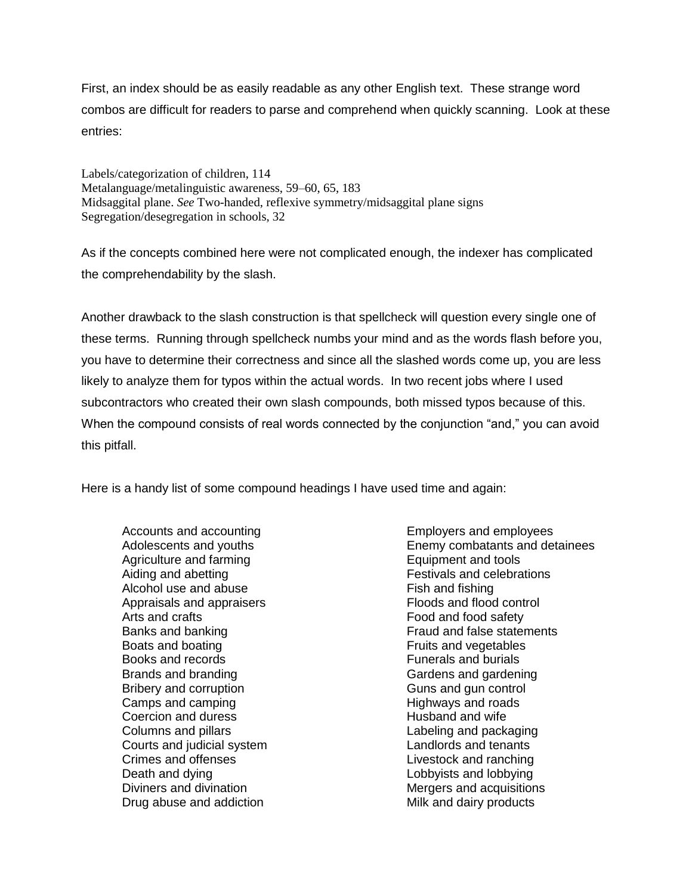First, an index should be as easily readable as any other English text. These strange word combos are difficult for readers to parse and comprehend when quickly scanning. Look at these entries:

Labels/categorization of children, 114 Metalanguage/metalinguistic awareness, 59–60, 65, 183 Midsaggital plane. *See* Two-handed, reflexive symmetry/midsaggital plane signs Segregation/desegregation in schools, 32

As if the concepts combined here were not complicated enough, the indexer has complicated the comprehendability by the slash.

Another drawback to the slash construction is that spellcheck will question every single one of these terms. Running through spellcheck numbs your mind and as the words flash before you, you have to determine their correctness and since all the slashed words come up, you are less likely to analyze them for typos within the actual words. In two recent jobs where I used subcontractors who created their own slash compounds, both missed typos because of this. When the compound consists of real words connected by the conjunction "and," you can avoid this pitfall.

Here is a handy list of some compound headings I have used time and again:

Accounts and accounting Adolescents and youths Agriculture and farming Aiding and abetting Alcohol use and abuse Appraisals and appraisers Arts and crafts Banks and banking Boats and boating Books and records Brands and branding Bribery and corruption Camps and camping Coercion and duress Columns and pillars Courts and judicial system Crimes and offenses Death and dying Diviners and divination Drug abuse and addiction

Employers and employees Enemy combatants and detainees Equipment and tools Festivals and celebrations Fish and fishing Floods and flood control Food and food safety Fraud and false statements Fruits and vegetables Funerals and burials Gardens and gardening Guns and gun control Highways and roads Husband and wife Labeling and packaging Landlords and tenants Livestock and ranching Lobbyists and lobbying Mergers and acquisitions Milk and dairy products